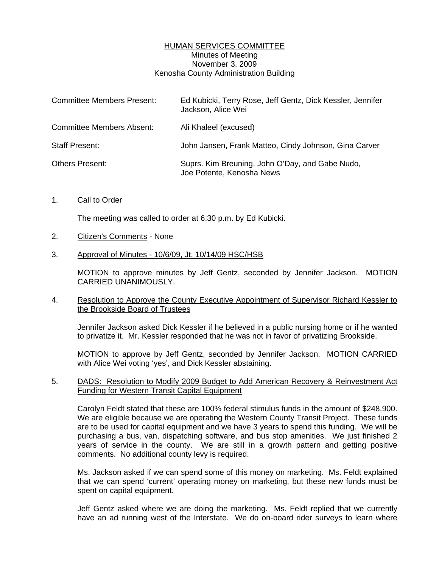# HUMAN SERVICES COMMITTEE Minutes of Meeting November 3, 2009 Kenosha County Administration Building

| <b>Committee Members Present:</b> | Ed Kubicki, Terry Rose, Jeff Gentz, Dick Kessler, Jennifer<br>Jackson, Alice Wei |
|-----------------------------------|----------------------------------------------------------------------------------|
| <b>Committee Members Absent:</b>  | Ali Khaleel (excused)                                                            |
| <b>Staff Present:</b>             | John Jansen, Frank Matteo, Cindy Johnson, Gina Carver                            |
| <b>Others Present:</b>            | Suprs. Kim Breuning, John O'Day, and Gabe Nudo,<br>Joe Potente, Kenosha News     |

1. Call to Order

The meeting was called to order at 6:30 p.m. by Ed Kubicki.

- 2. Citizen's Comments None
- 3. Approval of Minutes 10/6/09, Jt. 10/14/09 HSC/HSB

 MOTION to approve minutes by Jeff Gentz, seconded by Jennifer Jackson. MOTION CARRIED UNANIMOUSLY.

# 4. Resolution to Approve the County Executive Appointment of Supervisor Richard Kessler to the Brookside Board of Trustees

 Jennifer Jackson asked Dick Kessler if he believed in a public nursing home or if he wanted to privatize it. Mr. Kessler responded that he was not in favor of privatizing Brookside.

 MOTION to approve by Jeff Gentz, seconded by Jennifer Jackson. MOTION CARRIED with Alice Wei voting 'yes', and Dick Kessler abstaining.

# 5. DADS: Resolution to Modify 2009 Budget to Add American Recovery & Reinvestment Act Funding for Western Transit Capital Equipment

 Carolyn Feldt stated that these are 100% federal stimulus funds in the amount of \$248,900. We are eligible because we are operating the Western County Transit Project. These funds are to be used for capital equipment and we have 3 years to spend this funding. We will be purchasing a bus, van, dispatching software, and bus stop amenities. We just finished 2 years of service in the county. We are still in a growth pattern and getting positive comments. No additional county levy is required.

 Ms. Jackson asked if we can spend some of this money on marketing. Ms. Feldt explained that we can spend 'current' operating money on marketing, but these new funds must be spent on capital equipment.

 Jeff Gentz asked where we are doing the marketing. Ms. Feldt replied that we currently have an ad running west of the Interstate. We do on-board rider surveys to learn where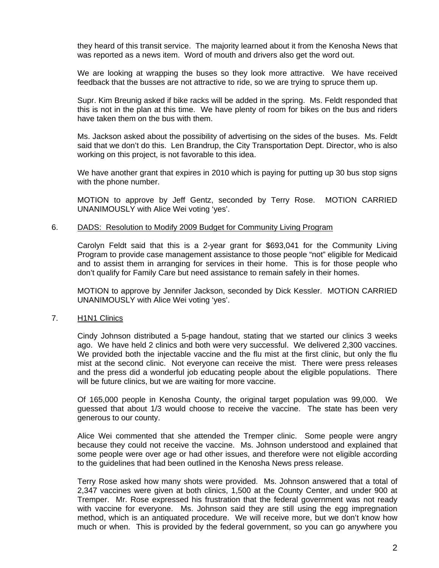they heard of this transit service. The majority learned about it from the Kenosha News that was reported as a news item. Word of mouth and drivers also get the word out.

 We are looking at wrapping the buses so they look more attractive. We have received feedback that the busses are not attractive to ride, so we are trying to spruce them up.

 Supr. Kim Breunig asked if bike racks will be added in the spring. Ms. Feldt responded that this is not in the plan at this time. We have plenty of room for bikes on the bus and riders have taken them on the bus with them.

 Ms. Jackson asked about the possibility of advertising on the sides of the buses. Ms. Feldt said that we don't do this. Len Brandrup, the City Transportation Dept. Director, who is also working on this project, is not favorable to this idea.

 We have another grant that expires in 2010 which is paying for putting up 30 bus stop signs with the phone number.

 MOTION to approve by Jeff Gentz, seconded by Terry Rose. MOTION CARRIED UNANIMOUSLY with Alice Wei voting 'yes'.

#### 6. DADS: Resolution to Modify 2009 Budget for Community Living Program

 Carolyn Feldt said that this is a 2-year grant for \$693,041 for the Community Living Program to provide case management assistance to those people "not" eligible for Medicaid and to assist them in arranging for services in their home. This is for those people who don't qualify for Family Care but need assistance to remain safely in their homes.

 MOTION to approve by Jennifer Jackson, seconded by Dick Kessler. MOTION CARRIED UNANIMOUSLY with Alice Wei voting 'yes'.

# 7. H1N1 Clinics

 Cindy Johnson distributed a 5-page handout, stating that we started our clinics 3 weeks ago. We have held 2 clinics and both were very successful. We delivered 2,300 vaccines. We provided both the injectable vaccine and the flu mist at the first clinic, but only the flu mist at the second clinic. Not everyone can receive the mist. There were press releases and the press did a wonderful job educating people about the eligible populations. There will be future clinics, but we are waiting for more vaccine.

 Of 165,000 people in Kenosha County, the original target population was 99,000. We guessed that about 1/3 would choose to receive the vaccine. The state has been very generous to our county.

 Alice Wei commented that she attended the Tremper clinic. Some people were angry because they could not receive the vaccine. Ms. Johnson understood and explained that some people were over age or had other issues, and therefore were not eligible according to the guidelines that had been outlined in the Kenosha News press release.

 Terry Rose asked how many shots were provided. Ms. Johnson answered that a total of 2,347 vaccines were given at both clinics, 1,500 at the County Center, and under 900 at Tremper. Mr. Rose expressed his frustration that the federal government was not ready with vaccine for everyone. Ms. Johnson said they are still using the egg impregnation method, which is an antiquated procedure. We will receive more, but we don't know how much or when. This is provided by the federal government, so you can go anywhere you